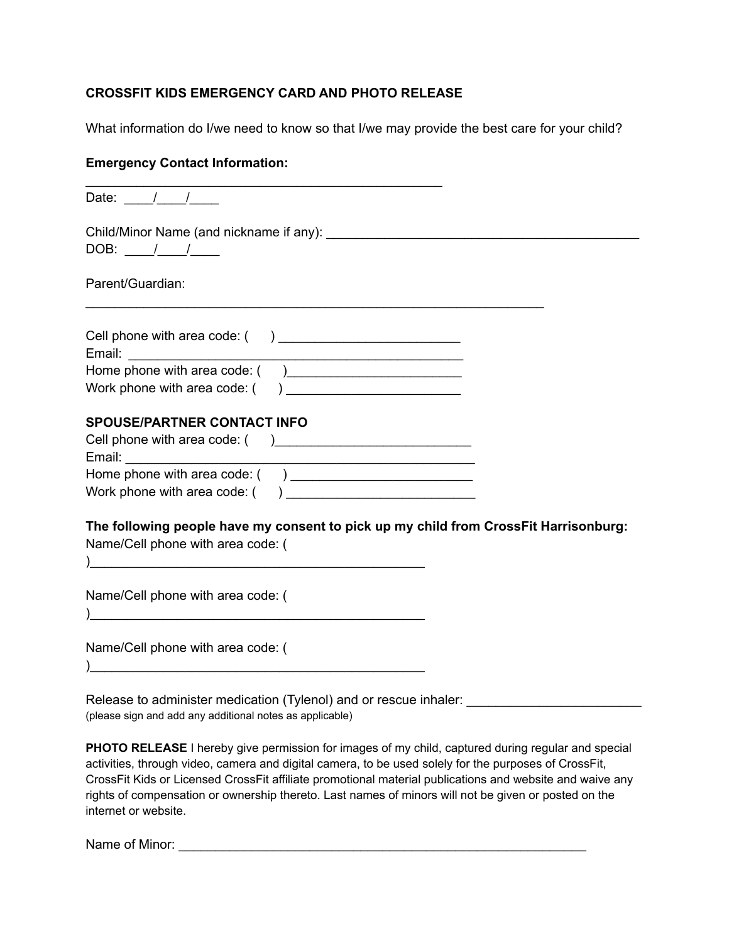## **CROSSFIT KIDS EMERGENCY CARD AND PHOTO RELEASE**

What information do I/we need to know so that I/we may provide the best care for your child?

## **Emergency Contact Information:**

| Date: $\frac{1}{1}$ /                                                                                                                                                            |  |
|----------------------------------------------------------------------------------------------------------------------------------------------------------------------------------|--|
| Child/Minor Name (and nickname if any): Lateral and the control of the control of the control of the control of<br>DOB: $\frac{1}{\sqrt{1-\frac{1}{2}}}$                         |  |
| Parent/Guardian:                                                                                                                                                                 |  |
| Cell phone with area code: () _____________________________                                                                                                                      |  |
|                                                                                                                                                                                  |  |
| <b>SPOUSE/PARTNER CONTACT INFO</b>                                                                                                                                               |  |
|                                                                                                                                                                                  |  |
| The following people have my consent to pick up my child from CrossFit Harrisonburg:<br>Name/Cell phone with area code: (<br>) and the contract of the contract of $\mathcal{L}$ |  |
| Name/Cell phone with area code: (<br><u> 1989 - 1989 - 1989 - 1989 - 1989 - 1989 - 1989 - 1989 - 1989 - 1989 - 1989 - 1989 - 1989 - 1989 - 1989 - 19</u>                         |  |
| Name/Cell phone with area code: (                                                                                                                                                |  |
| Delegas to administration of disating (Talencel) and concerns interla-                                                                                                           |  |

Release to administer medication (Tylenol) and or rescue inhaler: \_\_\_\_\_\_\_\_\_\_\_\_\_\_\_ (please sign and add any additional notes as applicable)

**PHOTO RELEASE** I hereby give permission for images of my child, captured during regular and special activities, through video, camera and digital camera, to be used solely for the purposes of CrossFit, CrossFit Kids or Licensed CrossFit affiliate promotional material publications and website and waive any rights of compensation or ownership thereto. Last names of minors will not be given or posted on the internet or website.

Name of Minor: \_\_\_\_\_\_\_\_\_\_\_\_\_\_\_\_\_\_\_\_\_\_\_\_\_\_\_\_\_\_\_\_\_\_\_\_\_\_\_\_\_\_\_\_\_\_\_\_\_\_\_\_\_\_\_\_